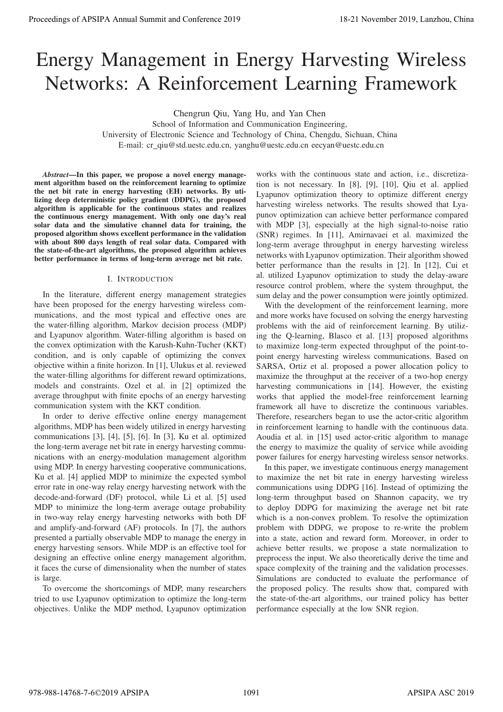# Energy Management in Energy Harvesting Wireless Networks: A Reinforcement Learning Framework

Chengrun Qiu, Yang Hu, and Yan Chen

School of Information and Communication Engineering, University of Electronic Science and Technology of China, Chengdu, Sichuan, China E-mail: cr qiu@std.uestc.edu.cn, yanghu@uestc.edu.cn eecyan@uestc.edu.cn

*Abstract*—In this paper, we propose a novel energy management algorithm based on the reinforcement learning to optimize the net bit rate in energy harvesting (EH) networks. By utilizing deep deterministic policy gradient (DDPG), the proposed algorithm is applicable for the continuous states and realizes the continuous energy management. With only one day's real solar data and the simulative channel data for training, the proposed algorithm shows excellent performance in the validation with about 800 days length of real solar data. Compared with the state-of-the-art algorithms, the proposed algorithm achieves better performance in terms of long-term average net bit rate.

## I. INTRODUCTION

In the literature, different energy management strategies have been proposed for the energy harvesting wireless communications, and the most typical and effective ones are the water-filling algorithm, Markov decision process (MDP) and Lyapunov algorithm. Water-filling algorithm is based on the convex optimization with the Karush-Kuhn-Tucher (KKT) condition, and is only capable of optimizing the convex objective within a finite horizon. In [1], Ulukus et al. reviewed the water-filling algorithms for different reward optimizations, models and constraints. Ozel et al. in [2] optimized the average throughput with finite epochs of an energy harvesting communication system with the KKT condition.

In order to derive effective online energy management algorithms, MDP has been widely utilized in energy harvesting communications [3], [4], [5], [6]. In [3], Ku et al. optimized the long-term average net bit rate in energy harvesting communications with an energy-modulation management algorithm using MDP. In energy harvesting cooperative communications, Ku et al. [4] applied MDP to minimize the expected symbol error rate in one-way relay energy harvesting network with the decode-and-forward (DF) protocol, while Li et al. [5] used MDP to minimize the long-term average outage probability in two-way relay energy harvesting networks with both DF and amplify-and-forward (AF) protocols. In [7], the authors presented a partially observable MDP to manage the energy in energy harvesting sensors. While MDP is an effective tool for designing an effective online energy management algorithm, it faces the curse of dimensionality when the number of states is large. **Proceedings of APSIPA Annual Summit and Co-Ference 2019**<br> **Energy Management in Energy Harvesting Wireless Neumann (and Conference 2019)**<br> **Energy Management in Energy Harvesting Wireless Neumann (and Conference 2019)**<br>

To overcome the shortcomings of MDP, many researchers tried to use Lyapunov optimization to optimize the long-term objectives. Unlike the MDP method, Lyapunov optimization

works with the continuous state and action, i.e., discretization is not necessary. In [8], [9], [10], Qiu et al. applied Lyapunov optimization theory to optimize different energy harvesting wireless networks. The results showed that Lyapunov optimization can achieve better performance compared with MDP [3], especially at the high signal-to-noise ratio (SNR) regimes. In [11], Amirnavaei et al. maximized the long-term average throughput in energy harvesting wireless networks with Lyapunov optimization. Their algorithm showed better performance than the results in [2]. In [12], Cui et al. utilized Lyapunov optimization to study the delay-aware resource control problem, where the system throughput, the sum delay and the power consumption were jointly optimized.

With the development of the reinforcement learning, more and more works have focused on solving the energy harvesting problems with the aid of reinforcement learning. By utilizing the Q-learning, Blasco et al. [13] proposed algorithms to maximize long-term expected throughput of the point-topoint energy harvesting wireless communications. Based on SARSA, Ortiz et al. proposed a power allocation policy to maximize the throughput at the receiver of a two-hop energy harvesting communications in [14]. However, the existing works that applied the model-free reinforcement learning framework all have to discretize the continuous variables. Therefore, researchers began to use the actor-critic algorithm in reinforcement learning to handle with the continuous data. Aoudia et al. in [15] used actor-critic algorithm to manage the energy to maximize the quality of service while avoiding power failures for energy harvesting wireless sensor networks.

In this paper, we investigate continuous energy management to maximize the net bit rate in energy harvesting wireless communications using DDPG [16]. Instead of optimizing the long-term throughput based on Shannon capacity, we try to deploy DDPG for maximizing the average net bit rate which is a non-convex problem. To resolve the optimization problem with DDPG, we propose to re-write the problem into a state, action and reward form. Moreover, in order to achieve better results, we propose a state normalization to preprocess the input. We also theoretically derive the time and space complexity of the training and the validation processes. Simulations are conducted to evaluate the performance of the proposed policy. The results show that, compared with the state-of-the-art algorithms, our trained policy has better performance especially at the low SNR region.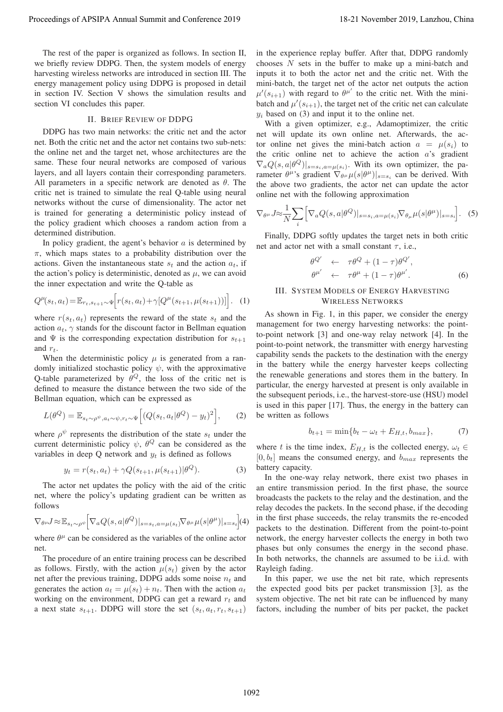The rest of the paper is organized as follows. In section II, we briefly review DDPG. Then, the system models of energy harvesting wireless networks are introduced in section III. The energy management policy using DDPG is proposed in detail in section IV. Section V shows the simulation results and section VI concludes this paper.

## II. BRIEF REVIEW OF DDPG

DDPG has two main networks: the critic net and the actor net. Both the critic net and the actor net contains two sub-nets: the online net and the target net, whose architectures are the same. These four neural networks are composed of various layers, and all layers contain their corresponding parameters. All parameters in a specific network are denoted as  $\theta$ . The critic net is trained to simulate the real Q-table using neural networks without the curse of dimensionality. The actor net is trained for generating a deterministic policy instead of the policy gradient which chooses a random action from a determined distribution. Proceeding of APSIPA Annual Summit and Co-Fis-21 November 2019 18-21 November 2019 18-21 November 2019 18-21 November 2019 18-21 November 2019 18-21 November 2019 18-21 November 2019 18-21 November 2019 18-21 November 201

In policy gradient, the agent's behavior  $a$  is determined by  $\pi$ , which maps states to a probability distribution over the actions. Given the instantaneous state  $s_t$  and the action  $a_t$ , if the action's policy is deterministic, denoted as  $\mu$ , we can avoid the inner expectation and write the Q-table as

$$
Q^{\mu}(s_t, a_t) = \mathbb{E}_{r_t, s_{t+1} \sim \Psi} \Big[ r(s_t, a_t) + \gamma [Q^{\mu}(s_{t+1}, \mu(s_{t+1}))] \Big]. \tag{1}
$$

where  $r(s_t, a_t)$  represents the reward of the state  $s_t$  and the action  $a_t$ ,  $\gamma$  stands for the discount factor in Bellman equation and  $\Psi$  is the corresponding expectation distribution for  $s_{t+1}$ and  $r_t$ .

When the deterministic policy  $\mu$  is generated from a randomly initialized stochastic policy  $\psi$ , with the approximative Q-table parameterized by  $\theta^Q$ , the loss of the critic net is defined to measure the distance between the two side of the Bellman equation, which can be expressed as

$$
L(\theta^{Q}) = \mathbb{E}_{s_t \sim \rho^{\psi}, a_t \sim \psi, r_t \sim \Psi} \left[ \left( Q(s_t, a_t | \theta^{Q}) - y_t \right)^2 \right], \qquad (2)
$$

where  $\rho^{\psi}$  represents the distribution of the state  $s_t$  under the current deterministic policy  $\psi$ ,  $\theta^Q$  can be considered as the variables in deep Q network and  $y_t$  is defined as follows

$$
y_t = r(s_t, a_t) + \gamma Q(s_{t+1}, \mu(s_{t+1}) | \theta^Q). \tag{3}
$$

The actor net updates the policy with the aid of the critic net, where the policy's updating gradient can be written as follows

$$
\nabla_{\theta^{\mu}} J \approx \mathbb{E}_{s_t \sim \rho^{\psi}} \Big[ \nabla_a Q(s, a | \theta^Q) |_{s=s_t, a=\mu(s_t)} \nabla_{\theta^{\mu}} \mu(s | \theta^{\mu}) |_{s=s_t} \Big] (4)
$$

where  $\theta^{\mu}$  can be considered as the variables of the online actor net.

The procedure of an entire training process can be described as follows. Firstly, with the action  $\mu(s_t)$  given by the actor net after the previous training, DDPG adds some noise  $n_t$  and generates the action  $a_t = \mu(s_t) + n_t$ . Then with the action  $a_t$ working on the environment, DDPG can get a reward  $r_t$  and a next state  $s_{t+1}$ . DDPG will store the set  $(s_t, a_t, r_t, s_{t+1})$  in the experience replay buffer. After that, DDPG randomly chooses  $N$  sets in the buffer to make up a mini-batch and inputs it to both the actor net and the critic net. With the mini-batch, the target net of the actor net outputs the action  $\mu'(s_{i+1})$  with regard to  $\theta^{\mu'}$  to the critic net. With the minibatch and  $\mu'(s_{i+1})$ , the target net of the critic net can calculate  $y_i$  based on (3) and input it to the online net.

With a given optimizer, e.g., Adamoptimizer, the critic net will update its own online net. Afterwards, the actor online net gives the mini-batch action  $a = \mu(s_i)$  to the critic online net to achieve the action  $a$ 's gradient  $\nabla_a Q(s, a | \theta^Q)|_{s=s_i, a=\mu(s_i)}$ . With its own optimizer, the parameter  $\theta^{\mu}$ 's gradient  $\nabla_{\theta^{\mu}} \mu(s|\theta^{\mu})|_{s=s_i}$  can be derived. With the above two gradients, the actor net can update the actor online net with the following approximation

$$
\nabla_{\theta^{\mu}} J \approx \frac{1}{N} \sum_{i} \left[ \nabla_a Q(s, a | \theta^Q) |_{s=s_i, a=\mu(s_i)} \nabla_{\theta_{\mu}} \mu(s | \theta^{\mu}) |_{s=s_i} \right]. \tag{5}
$$

Finally, DDPG softly updates the target nets in both critic net and actor net with a small constant  $\tau$ , i.e.,

$$
\begin{array}{rcl}\n\theta^{Q'} & \leftarrow & \tau \theta^{Q} + (1 - \tau) \theta^{Q'}, \\
\theta^{\mu'} & \leftarrow & \tau \theta^{\mu} + (1 - \tau) \theta^{\mu'}.\n\end{array} \tag{6}
$$

# III. SYSTEM MODELS OF ENERGY HARVESTING WIRELESS NETWORKS

As shown in Fig. 1, in this paper, we consider the energy management for two energy harvesting networks: the pointto-point network [3] and one-way relay network [4]. In the point-to-point network, the transmitter with energy harvesting capability sends the packets to the destination with the energy in the battery while the energy harvester keeps collecting the renewable generations and stores them in the battery. In particular, the energy harvested at present is only available in the subsequent periods, i.e., the harvest-store-use (HSU) model is used in this paper [17]. Thus, the energy in the battery can be written as follows

$$
b_{t+1} = \min\{b_t - \omega_t + E_{H,t}, b_{max}\},\tag{7}
$$

where t is the time index,  $E_{H,t}$  is the collected energy,  $\omega_t \in$  $[0, b_t]$  means the consumed energy, and  $b_{max}$  represents the battery capacity.

In the one-way relay network, there exist two phases in an entire transmission period. In the first phase, the source broadcasts the packets to the relay and the destination, and the relay decodes the packets. In the second phase, if the decoding in the first phase succeeds, the relay transmits the re-encoded packets to the destination. Different from the point-to-point network, the energy harvester collects the energy in both two phases but only consumes the energy in the second phase. In both networks, the channels are assumed to be i.i.d. with Rayleigh fading.

In this paper, we use the net bit rate, which represents the expected good bits per packet transmission [3], as the system objective. The net bit rate can be influenced by many factors, including the number of bits per packet, the packet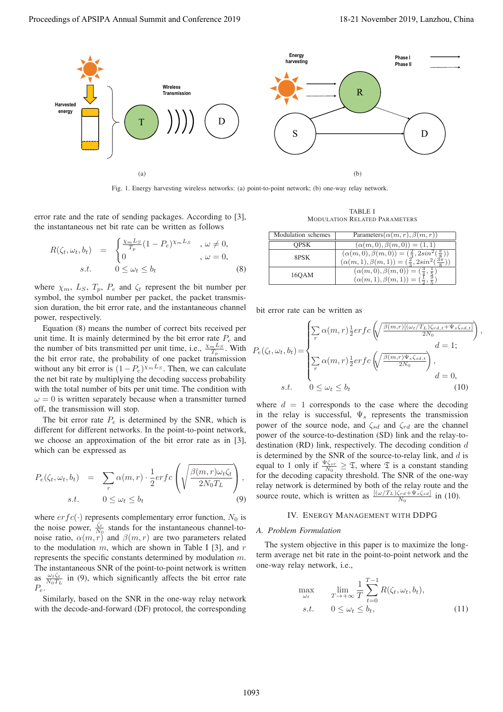

Fig. 1. Energy harvesting wireless networks: (a) point-to-point network; (b) one-way relay network.

error rate and the rate of sending packages. According to [3], the instantaneous net bit rate can be written as follows

$$
R(\zeta_t, \omega_t, b_t) = \begin{cases} \frac{\chi_m L_S}{T_p} (1 - P_e)^{\chi_m L_S} & , \omega \neq 0, \\ 0 & , \omega = 0, \end{cases}
$$
  
s.t. 
$$
0 \leq \omega_t \leq b_t
$$
 (8)

where  $\chi_m$ ,  $L_S$ ,  $T_p$ ,  $P_e$  and  $\zeta_t$  represent the bit number per symbol, the symbol number per packet, the packet transmission duration, the bit error rate, and the instantaneous channel power, respectively.

Equation (8) means the number of correct bits received per unit time. It is mainly determined by the bit error rate  $P_e$  and the number of bits transmitted per unit time, i.e.,  $\frac{\chi_m L_S}{T_p}$ . With the bit error rate, the probability of one packet transmission without any bit error is  $(1-P_e)^{\chi_m L_S}$ . Then, we can calculate the net bit rate by multiplying the decoding success probability with the total number of bits per unit time. The condition with  $\omega = 0$  is written separately because when a transmitter turned off, the transmission will stop.

The bit error rate  $P_e$  is determined by the SNR, which is different for different networks. In the point-to-point network, we choose an approximation of the bit error rate as in [3], which can be expressed as

$$
P_e(\zeta_t, \omega_t, b_t) = \sum_r \alpha(m, r) \cdot \frac{1}{2} erfc\left(\sqrt{\frac{\beta(m, r)\omega_t \zeta_t}{2N_0 T_L}}\right),
$$
  
s.t. 
$$
0 \le \omega_t \le b_t
$$
 (9)

where  $erfc(\cdot)$  represents complementary error function,  $N_0$  is the noise power,  $\frac{\zeta_t}{N_0}$  stands for the instantaneous channel-tonoise ratio,  $\alpha(m,r)$  and  $\beta(m,r)$  are two parameters related to the modulation  $m$ , which are shown in Table I [3], and  $r$ represents the specific constants determined by modulation m. The instantaneous SNR of the point-to-point network is written as  $\frac{\omega_t \zeta_t}{N_0 T_L}$  in (9), which significantly affects the bit error rate  $P_e$ .

Similarly, based on the SNR in the one-way relay network with the decode-and-forward (DF) protocol, the corresponding

TABLE I MODULATION RELATED PARAMETERS

| Modulation schemes | Parameters $(\alpha(m, r), \beta(m, r))$                                                                                                                                |
|--------------------|-------------------------------------------------------------------------------------------------------------------------------------------------------------------------|
| <b>OPSK</b>        | $(\alpha(m,0), \beta(m,0)) = (1,1)$                                                                                                                                     |
| 8PSK               | $(\alpha(m,0),\beta(m,0))=(\frac{2}{3},2sin^2(\frac{\pi}{8}))$<br>$\underbrace{(\alpha(m,1),\beta(m,1))} = \left(\frac{2}{3}, 2sin^2\left(\frac{3\pi}{6}\right)\right)$ |
| 160AM              | $(\alpha(m,0), \beta(m,0)) = (\frac{3}{4}, \frac{1}{5})$<br>$(\alpha(m,1), \beta(m,1)) = (\frac{1}{2}, \frac{3}{5})$                                                    |

bit error rate can be written as

$$
P_e(\zeta_t, \omega_t, b_t) = \begin{cases} \sum_r \alpha(m, r) \frac{1}{2} erfc\left(\sqrt{\frac{\beta(m, r)[(\omega_t/T_L)\zeta_{rd,t} + \Psi_s\zeta_{sd,t}]}{2N_0}}\right), \\ r & d = 1; \\ \sum_r \alpha(m, r) \frac{1}{2} erfc\left(\sqrt{\frac{\beta(m, r)\Psi_s\zeta_{sd,t}}{2N_0}}\right), \\ r & d = 0, \\ s.t. \qquad 0 \le \omega_t \le b_t \end{cases} (10)
$$

where  $d = 1$  corresponds to the case where the decoding in the relay is successful,  $\Psi_s$  represents the transmission power of the source node, and  $\zeta_{sd}$  and  $\zeta_{rd}$  are the channel power of the source-to-destination (SD) link and the relay-todestination (RD) link, respectively. The decoding condition  $d$ is determined by the SNR of the source-to-relay link, and  $d$  is equal to 1 only if  $\frac{\Psi \zeta_{sr}}{N_0} \geq \mathfrak{T}$ , where  $\mathfrak{T}$  is a constant standing for the decoding capacity threshold. The SNR of the one-way relay network is determined by both of the relay route and the source route, which is written as  $\frac{[(\omega/T_L)\zeta_{rd} + \Psi_s \zeta_{sd}]}{N_0}$  in (10).

#### IV. ENERGY MANAGEMENT WITH DDPG

#### *A. Problem Formulation*

 $\mathbf{I}$ 

The system objective in this paper is to maximize the longterm average net bit rate in the point-to-point network and the one-way relay network, i.e.,

$$
\max_{\omega_t} \qquad \lim_{T \to +\infty} \frac{1}{T} \sum_{t=0}^{T-1} R(\zeta_t, \omega_t, b_t),
$$
  
s.t.  $0 \le \omega_t \le b_t,$  (11)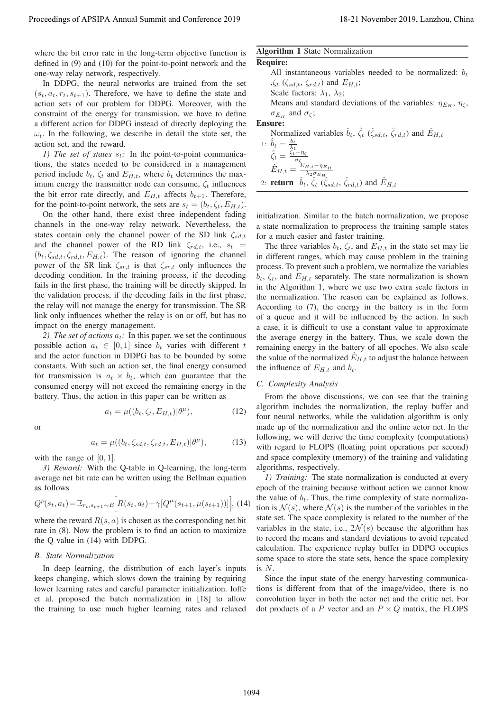where the bit error rate in the long-term objective function is defined in (9) and (10) for the point-to-point network and the one-way relay network, respectively.

In DDPG, the neural networks are trained from the set  $(s_t, a_t, r_t, s_{t+1})$ . Therefore, we have to define the state and action sets of our problem for DDPG. Moreover, with the constraint of the energy for transmission, we have to define a different action for DDPG instead of directly deploying the  $\omega_t$ . In the following, we describe in detail the state set, the action set, and the reward.

*1)* The set of states  $s_t$ : In the point-to-point communications, the states needed to be considered in a management period include  $b_t$ ,  $\zeta_t$  and  $E_{H,t}$ , where  $b_t$  determines the maximum energy the transmitter node can consume,  $\zeta_t$  influences the bit error rate directly, and  $E_{H,t}$  affects  $b_{t+1}$ . Therefore, for the point-to-point network, the sets are  $s_t = (b_t, \zeta_t, E_{H,t})$ .

On the other hand, there exist three independent fading channels in the one-way relay network. Nevertheless, the states contain only the channel power of the SD link  $\zeta_{sd,t}$ and the channel power of the RD link  $\zeta_{rd,t}$ , i.e.,  $s_t$  =  $(b_t, \zeta_{sd,t}, \zeta_{rd,t}, E_{H,t})$ . The reason of ignoring the channel power of the SR link  $\zeta_{sr,t}$  is that  $\zeta_{sr,t}$  only influences the decoding condition. In the training process, if the decoding fails in the first phase, the training will be directly skipped. In the validation process, if the decoding fails in the first phase, the relay will not manage the energy for transmission. The SR link only influences whether the relay is on or off, but has no impact on the energy management.

*2) The set of actions*  $a_t$ : In this paper, we set the continuous possible action  $a_t \in [0, 1]$  since  $b_t$  varies with different t and the actor function in DDPG has to be bounded by some constants. With such an action set, the final energy consumed for transmission is  $a_t \times b_t$ , which can guarantee that the consumed energy will not exceed the remaining energy in the battery. Thus, the action in this paper can be written as

 $a_t = \mu((b_t, \zeta_t, E_{H,t}) | \theta^{\mu}),$  (12)

$$
\sum_{i=1}^{n} x_i
$$

$$
a_t = \mu((b_t, \zeta_{sd,t}, \zeta_{rd,t}, E_{H,t}) | \theta^{\mu}), \qquad (13)
$$

with the range of  $[0, 1]$ .

*3) Reward:* With the Q-table in Q-learning, the long-term average net bit rate can be written using the Bellman equation as follows

$$
Q^{\mu}(s_t, a_t) = \mathbb{E}_{r_t, s_{t+1} \sim E} \Big[ R(s_t, a_t) + \gamma [Q^{\mu}(s_{t+1}, \mu(s_{t+1}))] \Big], \tag{14}
$$

where the reward  $R(s, a)$  is chosen as the corresponding net bit rate in (8). Now the problem is to find an action to maximize the Q value in (14) with DDPG.

#### *B. State Normalization*

In deep learning, the distribution of each layer's inputs keeps changing, which slows down the training by requiring lower learning rates and careful parameter initialization. Ioffe et al. proposed the batch normalization in [18] to allow the training to use much higher learning rates and relaxed

# Algorithm 1 State Normalization

**Required**  
\n**Required**  
\n**Required**  
\nAll instantaneous variables needed to be normalized: 
$$
b_t
$$
  
\n $\int_{\zeta_t} \langle \zeta_{sd,t}, \zeta_{rd,t} \rangle$  and  $E_{H,t}$ ;  
\nScale factors:  $\lambda_1, \lambda_2$ ;  
\nMeans and standard deviations of the variables:  $\eta_{E_H}, \eta_{\zeta}$ ,  
\n $\sigma_{E_H}$  and  $\sigma_{\zeta}$ ;  
\n**Ensure:**  
\nNormalized variables  $\hat{b}_t$ ,  $\hat{\zeta}_t$  ( $\hat{\zeta}_{sd,t}$ ,  $\hat{\zeta}_{rd,t}$ ) and  $\hat{E}_{H,t}$   
\n1:  $\hat{b}_t = \frac{b_t}{\lambda_1}$   
\n $\hat{\zeta}_t = \frac{\hat{b}_t - \eta_{\zeta}}{\sigma_{\zeta_{\zeta}}}$ 

$$
\hat{E}_{H,t} = \frac{\hat{E}_{H,t} - \eta_{E_{H}}}{\lambda_{2} \sigma_{E_{H}}}
$$
  
2: **return**  $\hat{b}_{t}, \hat{\zeta}_{t} (\hat{\zeta}_{sd,t}, \hat{\zeta}_{rd,t})$  and  $\hat{E}_{H,t}$ 

initialization. Similar to the batch normalization, we propose a state normalization to preprocess the training sample states for a much easier and faster training.

The three variables  $b_t$ ,  $\zeta_t$ , and  $E_{H,t}$  in the state set may lie in different ranges, which may cause problem in the training process. To prevent such a problem, we normalize the variables  $b_t$ ,  $\zeta_t$ , and  $E_{H,t}$  separately. The state normalization is shown in the Algorithm 1, where we use two extra scale factors in the normalization. The reason can be explained as follows. According to (7), the energy in the battery is in the form of a queue and it will be influenced by the action. In such a case, it is difficult to use a constant value to approximate the average energy in the battery. Thus, we scale down the remaining energy in the battery of all epoches. We also scale the value of the normalized  $E_{H,t}$  to adjust the balance between the influence of  $E_{H,t}$  and  $b_t$ . Proceeding of APSIPA Annual Summit and Co-Figure 2019<br>
solution (1) in the mean of the figure 2019 in the conference 2019 in the Conference 2019 in the conference 2019 in the conference 2019 in the mean of the CoNference

#### *C. Complexity Analysis*

From the above discussions, we can see that the training algorithm includes the normalization, the replay buffer and four neural networks, while the validation algorithm is only made up of the normalization and the online actor net. In the following, we will derive the time complexity (computations) with regard to FLOPS (floating point operations per second) and space complexity (memory) of the training and validating algorithms, respectively.

*1) Training:* The state normalization is conducted at every epoch of the training because without action we cannot know the value of  $b_t$ . Thus, the time complexity of state normalization is  $\mathcal{N}(s)$ , where  $\mathcal{N}(s)$  is the number of the variables in the state set. The space complexity is related to the number of the variables in the state, i.e.,  $2\mathcal{N}(s)$  because the algorithm has to record the means and standard deviations to avoid repeated calculation. The experience replay buffer in DDPG occupies some space to store the state sets, hence the space complexity is N.

Since the input state of the energy harvesting communications is different from that of the image/video, there is no convolution layer in both the actor net and the critic net. For dot products of a P vector and an  $P \times Q$  matrix, the FLOPS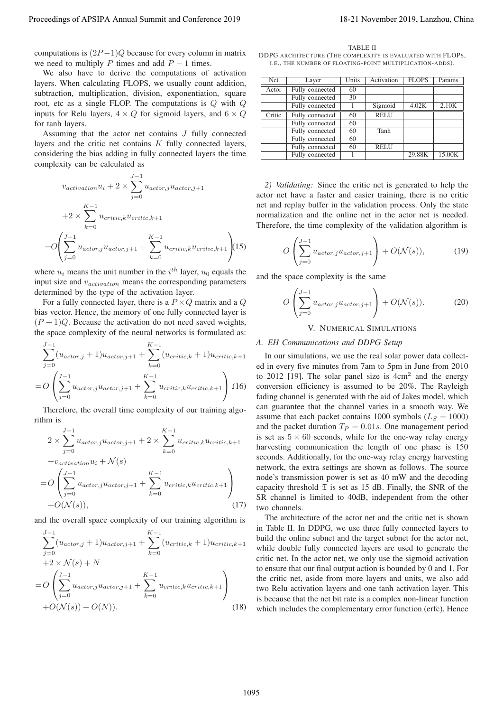computations is  $(2P-1)Q$  because for every column in matrix we need to multiply P times and add  $P - 1$  times.

We also have to derive the computations of activation layers. When calculating FLOPS, we usually count addition, subtraction, multiplication, division, exponentiation, square root, etc as a single FLOP. The computations is Q with Q inputs for Relu layers,  $4 \times Q$  for sigmoid layers, and  $6 \times Q$ for tanh layers.

Assuming that the actor net contains  $J$  fully connected layers and the critic net contains K fully connected layers, considering the bias adding in fully connected layers the time complexity can be calculated as

$$
v_{activation}u_i + 2 \times \sum_{j=0}^{J-1} u_{actor,j}u_{actor,j+1}
$$

$$
+2 \times \sum_{k=0}^{K-1} u_{critic,k}u_{critic,k+1}
$$

$$
=O\left(\sum_{j=0}^{J-1} u_{actor,j}u_{actor,j+1} + \sum_{k=0}^{K-1} u_{critic,k}u_{critic,k+1}\right)
$$
15)

where  $u_i$  means the unit number in the  $i^{th}$  layer,  $u_0$  equals the input size and  $v_{activation}$  means the corresponding parameters determined by the type of the activation layer.

For a fully connected layer, there is a  $P \times Q$  matrix and a Q bias vector. Hence, the memory of one fully connected layer is  $(P+1)Q$ . Because the activation do not need saved weights, the space complexity of the neural networks is formulated as:

$$
\sum_{j=0}^{J-1} (u_{actor,j} + 1)u_{actor,j+1} + \sum_{k=0}^{K-1} (u_{critic,k} + 1)u_{critic,k+1}
$$
  
=  $O\left(\sum_{j=0}^{J-1} u_{actor,j}u_{actor,j+1} + \sum_{k=0}^{K-1} u_{critic,k}u_{critic,k+1}\right)$  (16)

Therefore, the overall time complexity of our training algorithm is

$$
2 \times \sum_{j=0}^{J-1} u_{actor,j} u_{actor,j+1} + 2 \times \sum_{k=0}^{K-1} u_{critic,k} u_{critic,k+1}
$$

$$
+ v_{activation} u_i + \mathcal{N}(s)
$$

$$
= O\left(\sum_{j=0}^{J-1} u_{actor,j} u_{actor,j+1} + \sum_{k=0}^{K-1} u_{critic,k} u_{critic,k+1}\right)
$$

$$
+ O(\mathcal{N}(s)), \qquad (17)
$$

and the overall space complexity of our training algorithm is

$$
\sum_{j=0}^{J-1} (u_{actor,j} + 1)u_{actor,j+1} + \sum_{k=0}^{K-1} (u_{critic,k} + 1)u_{critic,k+1} \n+2 \times \mathcal{N}(s) + N \n= O\left(\sum_{j=0}^{J-1} u_{actor,j}u_{actor,j+1} + \sum_{k=0}^{K-1} u_{critic,k}u_{critic,k+1}\right) \n+O(\mathcal{N}(s)) + O(N)).
$$
\n(18)

TABLE II DDPG ARCHITECTURE (THE COMPLEXITY IS EVALUATED WITH FLOPS) I.E., THE NUMBER OF FLOATING-POINT MULTIPLICATION-ADDS).

| Net    | Layer           | Units | Activation  | <b>FLOPS</b> | Params |
|--------|-----------------|-------|-------------|--------------|--------|
| Actor  | Fully connected | 60    |             |              |        |
|        | Fully connected | 30    |             |              |        |
|        | Fully connected |       | Sigmoid     | 4.02K        | 2.10K  |
| Critic | Fully connected | 60    | <b>RELU</b> |              |        |
|        | Fully connected | 60    |             |              |        |
|        | Fully connected | 60    | Tanh        |              |        |
|        | Fully connected | 60    |             |              |        |
|        | Fully connected | 60    | <b>RELU</b> |              |        |
|        | Fully connected |       |             | 29.88K       | 15.00K |

*2) Validating:* Since the critic net is generated to help the actor net have a faster and easier training, there is no critic net and replay buffer in the validation process. Only the state normalization and the online net in the actor net is needed. Therefore, the time complexity of the validation algorithm is

$$
O\left(\sum_{j=0}^{J-1} u_{actor,j} u_{actor,j+1}\right) + O(\mathcal{N}(s)),\tag{19}
$$

and the space complexity is the same

$$
O\left(\sum_{j=0}^{J-1} u_{actor,j} u_{actor,j+1}\right) + O(\mathcal{N}(s)).\tag{20}
$$

# V. NUMERICAL SIMULATIONS

#### *A. EH Communications and DDPG Setup*

In our simulations, we use the real solar power data collected in every five minutes from 7am to 5pm in June from 2010 to 2012 [19]. The solar panel size is  $4cm<sup>2</sup>$  and the energy conversion efficiency is assumed to be 20%. The Rayleigh fading channel is generated with the aid of Jakes model, which can guarantee that the channel varies in a smooth way. We assume that each packet contains 1000 symbols ( $L<sub>S</sub> = 1000$ ) and the packet duration  $T_P = 0.01s$ . One management period is set as  $5 \times 60$  seconds, while for the one-way relay energy harvesting communication the length of one phase is 150 seconds. Additionally, for the one-way relay energy harvesting network, the extra settings are shown as follows. The source node's transmission power is set as 40 mW and the decoding capacity threshold  $\mathfrak T$  is set as 15 dB. Finally, the SNR of the SR channel is limited to 40dB, independent from the other two channels. Proceedings of APSIPA Annual Summit and Conference 2019<br>
computeriors of APSIPA Annual Summit and  $P = \sum_{i=1}^{n} a_i$  and  $P = \sum_{i=1}^{n} a_i$  and  $P = \sum_{i=1}^{n} a_i$  and  $P = \sum_{i=1}^{n} a_i$  and  $P = \sum_{i=1}^{n} a_i$  and  $P = \sum_{i=1}^{n} a_i$  a

The architecture of the actor net and the critic net is shown in Table II. In DDPG, we use three fully connected layers to build the online subnet and the target subnet for the actor net, while double fully connected layers are used to generate the critic net. In the actor net, we only use the sigmoid activation to ensure that our final output action is bounded by 0 and 1. For the critic net, aside from more layers and units, we also add two Relu activation layers and one tanh activation layer. This is because that the net bit rate is a complex non-linear function which includes the complementary error function (erfc). Hence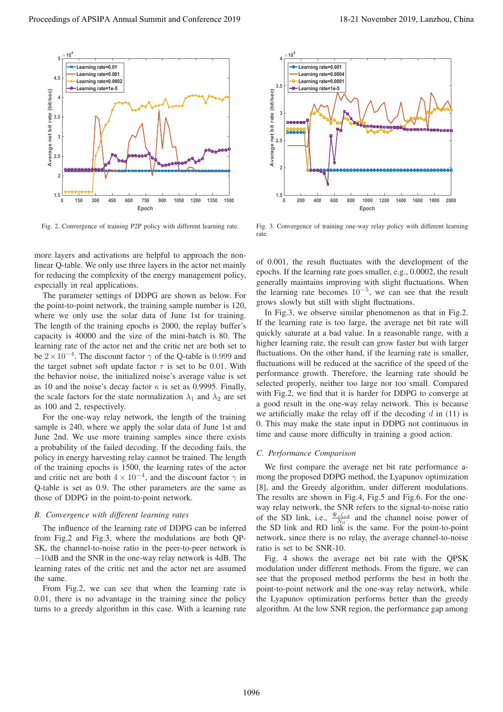

Fig. 2. Convergence of training P2P policy with different learning rate.

more layers and activations are helpful to approach the nonlinear Q-table. We only use three layers in the actor net mainly for reducing the complexity of the energy management policy, especially in real applications.

The parameter settings of DDPG are shown as below. For the point-to-point network, the training sample number is 120, where we only use the solar data of June 1st for training. The length of the training epochs is 2000, the replay buffer's capacity is 40000 and the size of the mini-batch is 80. The learning rate of the actor net and the critic net are both set to be  $2 \times 10^{-4}$ . The discount factor  $\gamma$  of the Q-table is 0.999 and the target subnet soft update factor  $\tau$  is set to be 0.01. With the behavior noise, the initialized noise's average value is set as 10 and the noise's decay factor  $\kappa$  is set as 0.9995. Finally, the scale factors for the state normalization  $\lambda_1$  and  $\lambda_2$  are set as 100 and 2, respectively.

For the one-way relay network, the length of the training sample is 240, where we apply the solar data of June 1st and June 2nd. We use more training samples since there exists a probability of the failed decoding. If the decoding fails, the policy in energy harvesting relay cannot be trained. The length of the training epochs is 1500, the learning rates of the actor and critic net are both  $4 \times 10^{-4}$ , and the discount factor  $\gamma$  in Q-table is set as 0.9. The other parameters are the same as those of DDPG in the point-to-point network.

## *B. Convergence with different learning rates*

The influence of the learning rate of DDPG can be inferred from Fig.2 and Fig.3, where the modulations are both QP-SK, the channel-to-noise ratio in the peer-to-peer network is −10dB and the SNR in the one-way relay network is 4dB. The learning rates of the critic net and the actor net are assumed the same.

From Fig.2, we can see that when the learning rate is 0.01, there is no advantage in the training since the policy turns to a greedy algorithm in this case. With a learning rate



Fig. 3. Convergence of training one-way relay policy with different learning rate.

of 0.001, the result fluctuates with the development of the epochs. If the learning rate goes smaller, e.g., 0.0002, the result generally maintains improving with slight fluctuations. When the learning rate becomes  $10^{-5}$ , we can see that the result grows slowly but still with slight fluctuations.

In Fig.3, we observe similar phenomenon as that in Fig.2. If the learning rate is too large, the average net bit rate will quickly saturate at a bad value. In a reasonable range, with a higher learning rate, the result can grow faster but with larger fluctuations. On the other hand, if the learning rate is smaller, fluctuations will be reduced at the sacrifice of the speed of the performance growth. Therefore, the learning rate should be selected properly, neither too large nor too small. Compared with Fig.2, we find that it is harder for DDPG to converge at a good result in the one-way relay network. This is because we artificially make the relay off if the decoding  $d$  in (11) is 0. This may make the state input in DDPG not continuous in time and cause more difficulty in training a good action.

#### *C. Performance Comparison*

We first compare the average net bit rate performance among the proposed DDPG method, the Lyapunov optimization [8], and the Greedy algorithm, under different modulations. The results are shown in Fig.4, Fig.5 and Fig.6. For the oneway relay network, the SNR refers to the signal-to-noise ratio of the SD link, i.e.,  $\frac{\Psi_s \zeta_{sd}}{N_0}$  and the channel noise power of the SD link and RD link is the same. For the point-to-point network, since there is no relay, the average channel-to-noise ratio is set to be SNR-10.

Fig. 4 shows the average net bit rate with the QPSK modulation under different methods. From the figure, we can see that the proposed method performs the best in both the point-to-point network and the one-way relay network, while the Lyapunov optimization performs better than the greedy algorithm. At the low SNR region, the performance gap among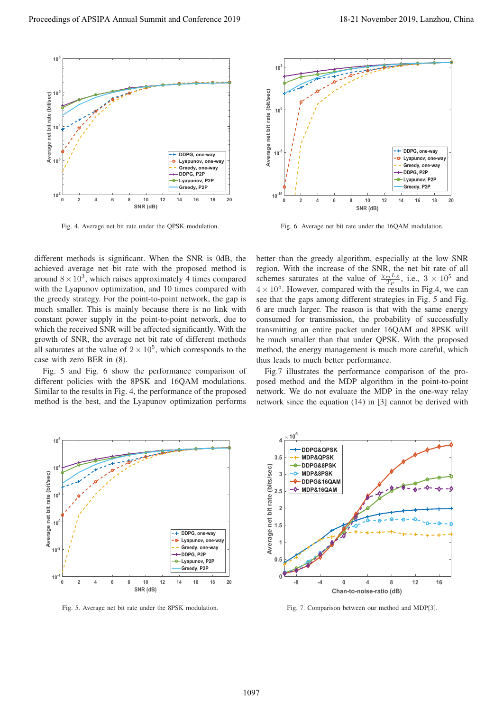

Fig. 4. Average net bit rate under the QPSK modulation.



Fig. 6. Average net bit rate under the 16QAM modulation.

different methods is significant. When the SNR is 0dB, the achieved average net bit rate with the proposed method is around  $8 \times 10^3$ , which raises approximately 4 times compared with the Lyapunov optimization, and 10 times compared with the greedy strategy. For the point-to-point network, the gap is much smaller. This is mainly because there is no link with constant power supply in the point-to-point network, due to which the received SNR will be affected significantly. With the growth of SNR, the average net bit rate of different methods all saturates at the value of  $2 \times 10^5$ , which corresponds to the case with zero BER in (8).

Fig. 5 and Fig. 6 show the performance comparison of different policies with the 8PSK and 16QAM modulations. Similar to the results in Fig. 4, the performance of the proposed method is the best, and the Lyapunov optimization performs

better than the greedy algorithm, especially at the low SNR region. With the increase of the SNR, the net bit rate of all schemes saturates at the value of  $\frac{\chi_m L_S}{T_P}$ , i.e.,  $3 \times 10^5$  and  $4 \times 10^5$ . However, compared with the results in Fig.4, we can see that the gaps among different strategies in Fig. 5 and Fig. 6 are much larger. The reason is that with the same energy consumed for transmission, the probability of successfully transmitting an entire packet under 16QAM and 8PSK will be much smaller than that under QPSK. With the proposed method, the energy management is much more careful, which thus leads to much better performance.

Fig.7 illustrates the performance comparison of the proposed method and the MDP algorithm in the point-to-point network. We do not evaluate the MDP in the one-way relay network since the equation (14) in [3] cannot be derived with



Fig. 5. Average net bit rate under the 8PSK modulation.



Fig. 7. Comparison between our method and MDP[3].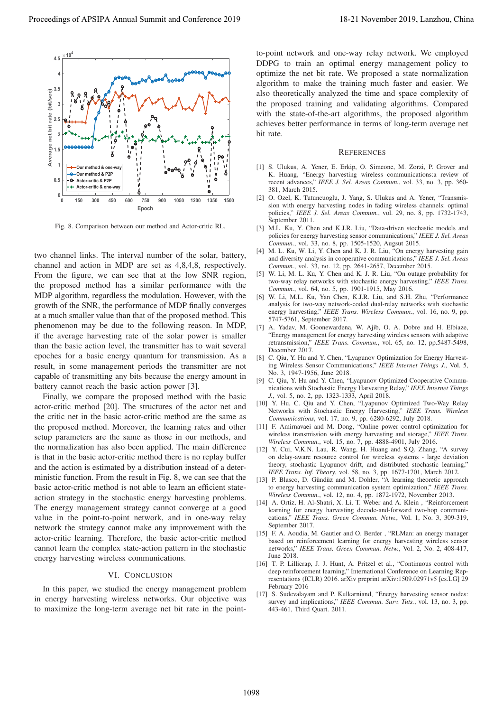

Fig. 8. Comparison between our method and Actor-critic RL.

two channel links. The interval number of the solar, battery, channel and action in MDP are set as 4,8,4,8, respectively. From the figure, we can see that at the low SNR region, the proposed method has a similar performance with the MDP algorithm, regardless the modulation. However, with the growth of the SNR, the performance of MDP finally converges at a much smaller value than that of the proposed method. This phenomenon may be due to the following reason. In MDP, if the average harvesting rate of the solar power is smaller than the basic action level, the transmitter has to wait several epoches for a basic energy quantum for transmission. As a result, in some management periods the transmitter are not capable of transmitting any bits because the energy amount in battery cannot reach the basic action power [3].

Finally, we compare the proposed method with the basic actor-critic method [20]. The structures of the actor net and the critic net in the basic actor-critic method are the same as the proposed method. Moreover, the learning rates and other setup parameters are the same as those in our methods, and the normalization has also been applied. The main difference is that in the basic actor-critic method there is no replay buffer and the action is estimated by a distribution instead of a deterministic function. From the result in Fig. 8, we can see that the basic actor-critic method is not able to learn an efficient stateaction strategy in the stochastic energy harvesting problems. The energy management strategy cannot converge at a good value in the point-to-point network, and in one-way relay network the strategy cannot make any improvement with the actor-critic learning. Therefore, the basic actor-critic method cannot learn the complex state-action pattern in the stochastic energy harvesting wireless communications.

## VI. CONCLUSION

In this paper, we studied the energy management problem in energy harvesting wireless networks. Our objective was to maximize the long-term average net bit rate in the pointto-point network and one-way relay network. We employed DDPG to train an optimal energy management policy to optimize the net bit rate. We proposed a state normalization algorithm to make the training much faster and easier. We also theoretically analyzed the time and space complexity of the proposed training and validating algorithms. Compared with the state-of-the-art algorithms, the proposed algorithm achieves better performance in terms of long-term average net bit rate.

#### **REFERENCES**

- [1] S. Ulukus, A. Yener, E. Erkip, O. Simeone, M. Zorzi, P. Grover and K. Huang, "Energy harvesting wireless communications:a review of recent advances," *IEEE J. Sel. Areas Commun.*, vol. 33, no. 3, pp. 360- 381, March 2015.
- [2] O. Ozel, K. Tutuncuoglu, J. Yang, S. Ulukus and A. Yener, "Transmission with energy harvesting nodes in fading wireless channels: optimal policies," *IEEE J. Sel. Areas Commun.*, vol. 29, no. 8, pp. 1732-1743, September 2011.
- [3] M.L. Ku, Y. Chen and K.J.R. Liu, "Data-driven stochastic models and policies for energy harvesting sensor communications," *IEEE J. Sel. Areas Commun.*, vol. 33, no. 8, pp. 1505-1520, Augsut 2015.
- [4] M. L. Ku, W. Li, Y. Chen and K. J. R. Liu, "On energy harvesting gain and diversity analysis in cooperative communications," *IEEE J. Sel. Areas Commun.*, vol. 33, no. 12, pp. 2641-2657, December 2015.
- [5] W. Li, M. L. Ku, Y. Chen and K. J. R. Liu, "On outage probability for two-way relay networks with stochastic energy harvesting," *IEEE Trans. Commun.*, vol. 64, no. 5, pp. 1901-1915, May 2016.
- [6] W. Li, M.L. Ku, Yan Chen, K.J.R. Liu, and S.H. Zhu, "Performance analysis for two-way network-coded dual-relay networks with stochastic energy harvesting," *IEEE Trans. Wireless Commun.*, vol. 16, no. 9, pp. 5747-5761, September 2017.
- [7] A. Yadav, M. Goonewardena, W. Ajib, O. A. Dobre and H. Elbiaze, "Energy management for energy harvesting wireless sensors with adaptive retransmission," *IEEE Trans. Commun.*, vol. 65, no. 12, pp.5487-5498, December 2017.
- [8] C. Qiu, Y. Hu and Y. Chen, "Lyapunov Optimization for Energy Harvesting Wireless Sensor Communications," *IEEE Internet Things J.*, Vol. 5, No. 3, 1947-1956, June 2018.
- [9] C. Qiu, Y. Hu and Y. Chen, "Lyapunov Optimized Cooperative Communications with Stochastic Energy Harvesting Relay," *IEEE Internet Things J.*, vol. 5, no. 2, pp. 1323-1333, April 2018.
- [10] Y. Hu, C. Qiu and Y. Chen, "Lyapunov Optimized Two-Way Relay Networks with Stochastic Energy Harvesting," *IEEE Trans. Wireless Communications*, vol. 17, no. 9, pp. 6280-6292, July 2018.
- [11] F. Amirnavaei and M. Dong, "Online power control optimization for wireless transmission with energy harvesting and storage," *IEEE Trans. Wireless Commun.*, vol. 15, no. 7, pp. 4888-4901, July 2016.
- [12] Y. Cui, V.K.N. Lau, R. Wang, H. Huang and S.Q. Zhang, "A survey on delay-aware resource control for wireless systems - large deviation theory, stochastic Lyapunov drift, and distributed stochastic learning," *IEEE Trans. Inf. Theory*, vol. 58, no. 3, pp. 1677-1701, March 2012.
- [13] P. Blasco, D. Gündüz and M. Dohler, "A learning theoretic approach to energy harvesting communication system optimization," *IEEE Trans. Wireless Commun.*, vol. 12, no. 4, pp. 1872-1972, November 2013.
- [14] A. Ortiz, H. Al-Shatri, X. Li, T. Weber and A. Klein, "Reinforcement learning for energy harvesting decode-and-forward two-hop communications," *IEEE Trans. Green Commun. Netw.*, Vol. 1, No. 3, 309-319, September 2017.
- [15] F. A. Aoudia, M. Gautier and O. Berder, "RLMan: an energy manager based on reinforcement learning for energy harvesting wireless sensor networks," *IEEE Trans. Green Commun. Netw.*, Vol. 2, No. 2, 408-417, June 2018.
- [16] T. P. Lillicrap, J. J. Hunt, A. Pritzel et al., "Continuous control with deep reinforcement learning," International Conference on Learning Representations (ICLR) 2016. arXiv preprint arXiv:1509.02971v5 [cs.LG] 29 February 2016
- [17] S. Sudevalayam and P. Kulkarniand, "Energy harvesting sensor nodes: survey and implications," *IEEE Commun. Surv. Tuts.*, vol. 13, no. 3, pp. 443-461, Third Quart. 2011.